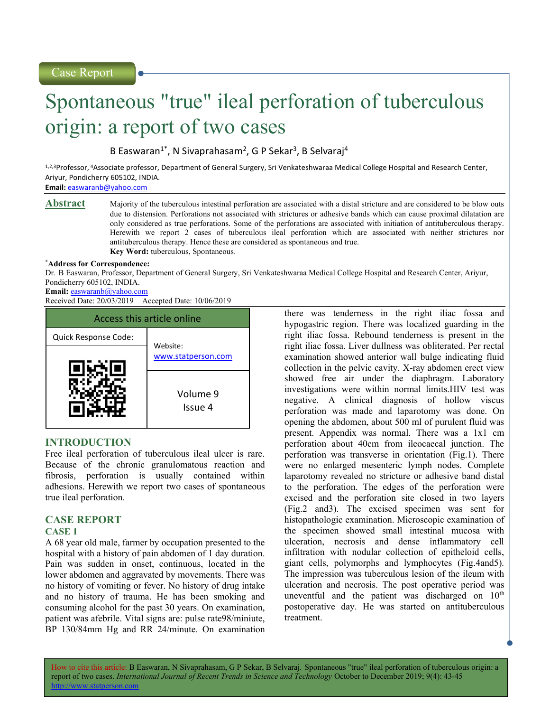# Spontaneous "true" ileal perforation of tuberculous origin: a report of two cases

B Easwaran<sup>1\*</sup>, N Sivaprahasam<sup>2</sup>, G P Sekar<sup>3</sup>, B Selvaraj<sup>4</sup>

1,2,3Professor, 4Associate professor, Department of General Surgery, Sri Venkateshwaraa Medical College Hospital and Research Center, Ariyur, Pondicherry 605102, INDIA.

Email: easwaranb@yahoo.com

**Abstract** Majority of the tuberculous intestinal perforation are associated with a distal stricture and are considered to be blow outs due to distension. Perforations not associated with strictures or adhesive bands which can cause proximal dilatation are only considered as true perforations. Some of the perforations are associated with initiation of antituberculous therapy. Herewith we report 2 cases of tuberculous ileal perforation which are associated with neither strictures nor antituberculous therapy. Hence these are considered as spontaneous and true. Key Word: tuberculous, Spontaneous.

#### \*Address for Correspondence:

Dr. B Easwaran, Professor, Department of General Surgery, Sri Venkateshwaraa Medical College Hospital and Research Center, Ariyur, Pondicherry 605102, INDIA.

# Email: easwaranb@yahoo.com

Received Date: 20/03/2019 Accepted Date: 10/06/2019



# INTRODUCTION

Free ileal perforation of tuberculous ileal ulcer is rare. Because of the chronic granulomatous reaction and fibrosis, perforation is usually contained within adhesions. Herewith we report two cases of spontaneous true ileal perforation.

# CASE REPORT

## CASE 1

A 68 year old male, farmer by occupation presented to the hospital with a history of pain abdomen of 1 day duration. Pain was sudden in onset, continuous, located in the lower abdomen and aggravated by movements. There was no history of vomiting or fever. No history of drug intake and no history of trauma. He has been smoking and consuming alcohol for the past 30 years. On examination, patient was afebrile. Vital signs are: pulse rate98/miniute, BP 130/84mm Hg and RR 24/minute. On examination

there was tenderness in the right iliac fossa and hypogastric region. There was localized guarding in the right iliac fossa. Rebound tenderness is present in the right iliac fossa. Liver dullness was obliterated. Per rectal examination showed anterior wall bulge indicating fluid collection in the pelvic cavity. X-ray abdomen erect view showed free air under the diaphragm. Laboratory investigations were within normal limits.HIV test was negative. A clinical diagnosis of hollow viscus perforation was made and laparotomy was done. On opening the abdomen, about 500 ml of purulent fluid was present. Appendix was normal. There was a 1x1 cm perforation about 40cm from ileocaecal junction. The perforation was transverse in orientation (Fig.1). There were no enlarged mesenteric lymph nodes. Complete laparotomy revealed no stricture or adhesive band distal to the perforation. The edges of the perforation were excised and the perforation site closed in two layers (Fig.2 and3). The excised specimen was sent for histopathologic examination. Microscopic examination of the specimen showed small intestinal mucosa with ulceration, necrosis and dense inflammatory cell infiltration with nodular collection of epitheloid cells, giant cells, polymorphs and lymphocytes (Fig.4and5). The impression was tuberculous lesion of the ileum with ulceration and necrosis. The post operative period was uneventful and the patient was discharged on  $10<sup>th</sup>$ postoperative day. He was started on antituberculous treatment.

How to cite this article: B Easwaran, N Sivaprahasam, G P Sekar, B Selvaraj. Spontaneous "true" ileal perforation of tuberculous origin: a report of two cases. International Journal of Recent Trends in Science and Technology October to December 2019; 9(4): 43-45 p://www.statperson.com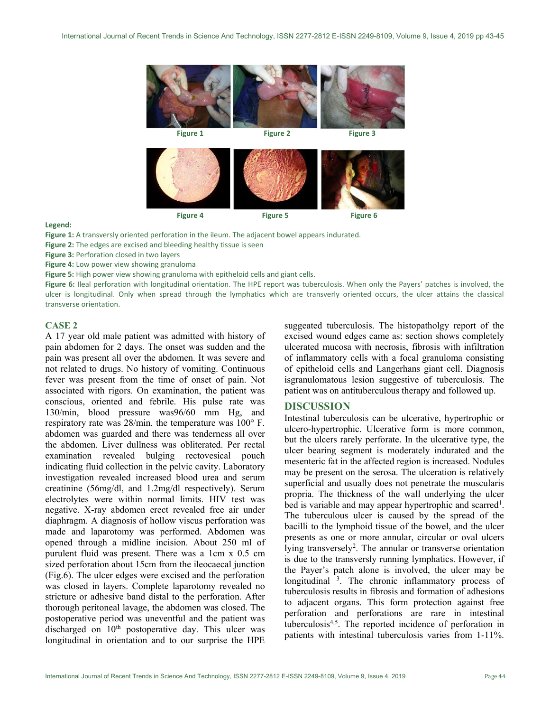

#### Legend:

- Figure 1: A transversly oriented perforation in the ileum. The adjacent bowel appears indurated.
- Figure 2: The edges are excised and bleeding healthy tissue is seen
- Figure 3: Perforation closed in two layers
- Figure 4: Low power view showing granuloma
- Figure 5: High power view showing granuloma with epitheloid cells and giant cells.

Figure 6: Ileal perforation with longitudinal orientation. The HPE report was tuberculosis. When only the Payers' patches is involved, the ulcer is longitudinal. Only when spread through the lymphatics which are transverly oriented occurs, the ulcer attains the classical transverse orientation.

## CASE 2

A 17 year old male patient was admitted with history of pain abdomen for 2 days. The onset was sudden and the pain was present all over the abdomen. It was severe and not related to drugs. No history of vomiting. Continuous fever was present from the time of onset of pain. Not associated with rigors. On examination, the patient was conscious, oriented and febrile. His pulse rate was 130/min, blood pressure was96/60 mm Hg, and respiratory rate was 28/min. the temperature was 100° F. abdomen was guarded and there was tenderness all over the abdomen. Liver dullness was obliterated. Per rectal examination revealed bulging rectovesical pouch indicating fluid collection in the pelvic cavity. Laboratory investigation revealed increased blood urea and serum creatinine (56mg/dl, and 1.2mg/dl respectively). Serum electrolytes were within normal limits. HIV test was negative. X-ray abdomen erect revealed free air under diaphragm. A diagnosis of hollow viscus perforation was made and laparotomy was performed. Abdomen was opened through a midline incision. About 250 ml of purulent fluid was present. There was a 1cm x 0.5 cm sized perforation about 15cm from the ileocaecal junction (Fig.6). The ulcer edges were excised and the perforation was closed in layers. Complete laparotomy revealed no stricture or adhesive band distal to the perforation. After thorough peritoneal lavage, the abdomen was closed. The postoperative period was uneventful and the patient was discharged on 10<sup>th</sup> postoperative day. This ulcer was longitudinal in orientation and to our surprise the HPE

suggeated tuberculosis. The histopatholgy report of the excised wound edges came as: section shows completely ulcerated mucosa with necrosis, fibrosis with infiltration of inflammatory cells with a focal granuloma consisting of epitheloid cells and Langerhans giant cell. Diagnosis isgranulomatous lesion suggestive of tuberculosis. The patient was on antituberculous therapy and followed up.

# DISCUSSION

Intestinal tuberculosis can be ulcerative, hypertrophic or ulcero-hypertrophic. Ulcerative form is more common, but the ulcers rarely perforate. In the ulcerative type, the ulcer bearing segment is moderately indurated and the mesenteric fat in the affected region is increased. Nodules may be present on the serosa. The ulceration is relatively superficial and usually does not penetrate the muscularis propria. The thickness of the wall underlying the ulcer bed is variable and may appear hypertrophic and scarred<sup>1</sup>. The tuberculous ulcer is caused by the spread of the bacilli to the lymphoid tissue of the bowel, and the ulcer presents as one or more annular, circular or oval ulcers lying transversely<sup>2</sup>. The annular or transverse orientation is due to the transversly running lymphatics. However, if the Payer's patch alone is involved, the ulcer may be longitudinal <sup>3</sup>. The chronic inflammatory process of tuberculosis results in fibrosis and formation of adhesions to adjacent organs. This form protection against free perforation and perforations are rare in intestinal tuberculosis4,5. The reported incidence of perforation in patients with intestinal tuberculosis varies from 1-11%.